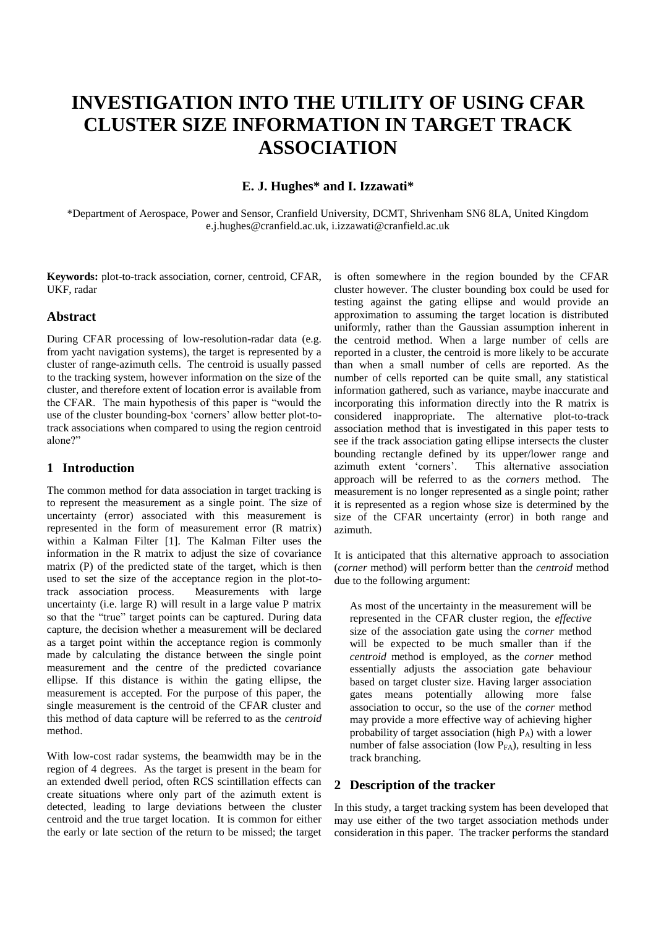# **INVESTIGATION INTO THE UTILITY OF USING CFAR CLUSTER SIZE INFORMATION IN TARGET TRACK ASSOCIATION**

## **E. J. Hughes\* and I. Izzawati\***

\*Department of Aerospace, Power and Sensor, Cranfield University, DCMT, Shrivenham SN6 8LA, United Kingdom e.j.hughes@cranfield.ac.uk, i.izzawati@cranfield.ac.uk

**Keywords:** plot-to-track association, corner, centroid, CFAR, UKF, radar

## **Abstract**

During CFAR processing of low-resolution-radar data (e.g. from yacht navigation systems), the target is represented by a cluster of range-azimuth cells. The centroid is usually passed to the tracking system, however information on the size of the cluster, and therefore extent of location error is available from the CFAR. The main hypothesis of this paper is "would the use of the cluster bounding-box 'corners' allow better plot-totrack associations when compared to using the region centroid alone?"

## **1 Introduction**

The common method for data association in target tracking is to represent the measurement as a single point. The size of uncertainty (error) associated with this measurement is represented in the form of measurement error (R matrix) within a Kalman Filter [1]. The Kalman Filter uses the information in the R matrix to adjust the size of covariance matrix (P) of the predicted state of the target, which is then used to set the size of the acceptance region in the plot-totrack association process. Measurements with large uncertainty (i.e. large R) will result in a large value P matrix so that the "true" target points can be captured. During data capture, the decision whether a measurement will be declared as a target point within the acceptance region is commonly made by calculating the distance between the single point measurement and the centre of the predicted covariance ellipse. If this distance is within the gating ellipse, the measurement is accepted. For the purpose of this paper, the single measurement is the centroid of the CFAR cluster and this method of data capture will be referred to as the *centroid* method.

With low-cost radar systems, the beamwidth may be in the region of 4 degrees. As the target is present in the beam for an extended dwell period, often RCS scintillation effects can create situations where only part of the azimuth extent is detected, leading to large deviations between the cluster centroid and the true target location. It is common for either the early or late section of the return to be missed; the target is often somewhere in the region bounded by the CFAR cluster however. The cluster bounding box could be used for testing against the gating ellipse and would provide an approximation to assuming the target location is distributed uniformly, rather than the Gaussian assumption inherent in the centroid method. When a large number of cells are reported in a cluster, the centroid is more likely to be accurate than when a small number of cells are reported. As the number of cells reported can be quite small, any statistical information gathered, such as variance, maybe inaccurate and incorporating this information directly into the R matrix is considered inappropriate. The alternative plot-to-track association method that is investigated in this paper tests to see if the track association gating ellipse intersects the cluster bounding rectangle defined by its upper/lower range and azimuth extent 'corners'. This alternative association approach will be referred to as the *corners* method. The measurement is no longer represented as a single point; rather it is represented as a region whose size is determined by the size of the CFAR uncertainty (error) in both range and azimuth.

It is anticipated that this alternative approach to association (*corner* method) will perform better than the *centroid* method due to the following argument:

As most of the uncertainty in the measurement will be represented in the CFAR cluster region, the *effective* size of the association gate using the *corner* method will be expected to be much smaller than if the *centroid* method is employed, as the *corner* method essentially adjusts the association gate behaviour based on target cluster size. Having larger association gates means potentially allowing more false association to occur, so the use of the *corner* method may provide a more effective way of achieving higher probability of target association (high  $P_A$ ) with a lower number of false association (low  $P_{FA}$ ), resulting in less track branching.

## **2 Description of the tracker**

In this study, a target tracking system has been developed that may use either of the two target association methods under consideration in this paper. The tracker performs the standard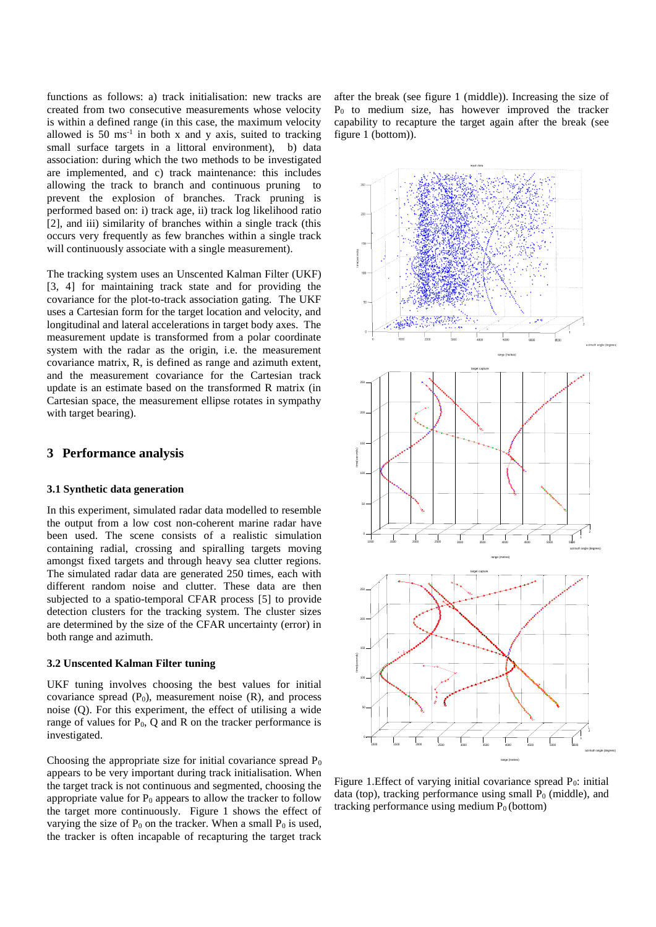functions as follows: a) track initialisation: new tracks are created from two consecutive measurements whose velocity is within a defined range (in this case, the maximum velocity allowed is 50  $\text{ms}^{-1}$  in both x and y axis, suited to tracking small surface targets in a littoral environment), b) data association: during which the two methods to be investigated are implemented, and c) track maintenance: this includes allowing the track to branch and continuous pruning to prevent the explosion of branches. Track pruning is performed based on: i) track age, ii) track log likelihood ratio [2], and iii) similarity of branches within a single track (this occurs very frequently as few branches within a single track will continuously associate with a single measurement).

The tracking system uses an Unscented Kalman Filter (UKF) [3, 4] for maintaining track state and for providing the covariance for the plot-to-track association gating. The UKF uses a Cartesian form for the target location and velocity, and longitudinal and lateral accelerations in target body axes. The measurement update is transformed from a polar coordinate system with the radar as the origin, i.e. the measurement covariance matrix, R, is defined as range and azimuth extent, and the measurement covariance for the Cartesian track update is an estimate based on the transformed R matrix (in Cartesian space, the measurement ellipse rotates in sympathy with target bearing).

## **3 Performance analysis**

### **3.1 Synthetic data generation**

In this experiment, simulated radar data modelled to resemble the output from a low cost non-coherent marine radar have been used. The scene consists of a realistic simulation containing radial, crossing and spiralling targets moving amongst fixed targets and through heavy sea clutter regions. The simulated radar data are generated 250 times, each with different random noise and clutter. These data are then subjected to a spatio-temporal CFAR process [5] to provide detection clusters for the tracking system. The cluster sizes are determined by the size of the CFAR uncertainty (error) in both range and azimuth.

### **3.2 Unscented Kalman Filter tuning**

UKF tuning involves choosing the best values for initial covariance spread  $(P_0)$ , measurement noise  $(R)$ , and process noise (Q). For this experiment, the effect of utilising a wide range of values for  $P_0$ , Q and R on the tracker performance is investigated.

Choosing the appropriate size for initial covariance spread  $P_0$ appears to be very important during track initialisation. When the target track is not continuous and segmented, choosing the appropriate value for  $P_0$  appears to allow the tracker to follow the target more continuously. Figure 1 shows the effect of varying the size of  $P_0$  on the tracker. When a small  $P_0$  is used, the tracker is often incapable of recapturing the target track

after the break (see figure 1 (middle)). Increasing the size of  $P_0$  to medium size, has however improved the tracker capability to recapture the target again after the break (see figure 1 (bottom)).



Figure 1. Effect of varying initial covariance spread  $P_0$ : initial data (top), tracking performance using small  $P_0$  (middle), and tracking performance using medium  $P_0$  (bottom)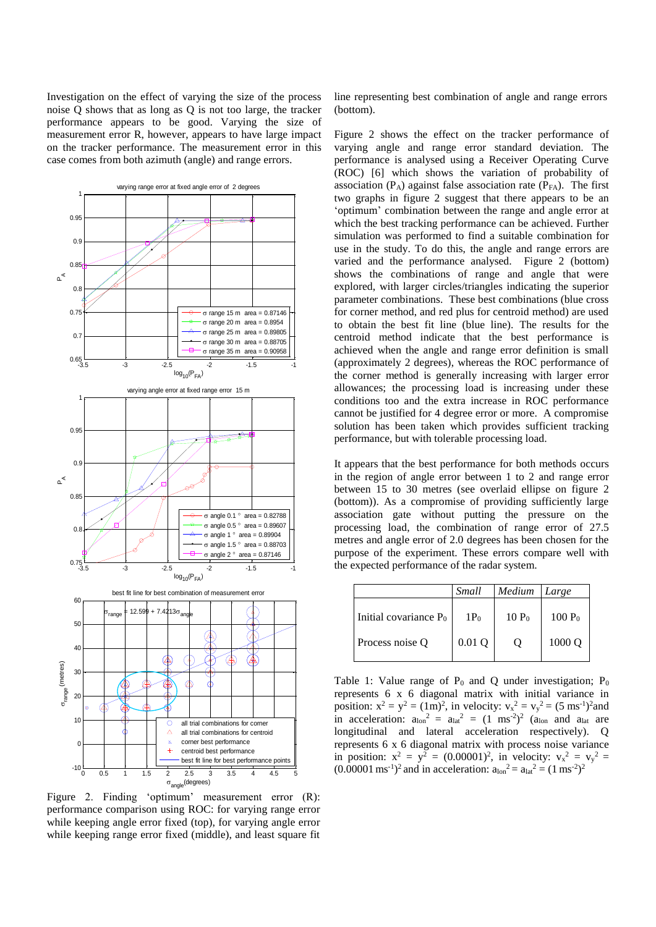Investigation on the effect of varying the size of the process noise Q shows that as long as Q is not too large, the tracker performance appears to be good. Varying the size of measurement error R, however, appears to have large impact on the tracker performance. The measurement error in this case comes from both azimuth (angle) and range errors.



Figure 2. Finding 'optimum' measurement error (R): performance comparison using ROC: for varying range error while keeping angle error fixed (top), for varying angle error while keeping range error fixed (middle), and least square fit

line representing best combination of angle and range errors (bottom).

Figure 2 shows the effect on the tracker performance of varying angle and range error standard deviation. The performance is analysed using a Receiver Operating Curve (ROC) [6] which shows the variation of probability of association  $(P_A)$  against false association rate  $(P_{FA})$ . The first two graphs in figure 2 suggest that there appears to be an 'optimum' combination between the range and angle error at which the best tracking performance can be achieved. Further simulation was performed to find a suitable combination for use in the study. To do this, the angle and range errors are varied and the performance analysed. Figure 2 (bottom) shows the combinations of range and angle that were explored, with larger circles/triangles indicating the superior parameter combinations. These best combinations (blue cross for corner method, and red plus for centroid method) are used to obtain the best fit line (blue line). The results for the centroid method indicate that the best performance is achieved when the angle and range error definition is small (approximately 2 degrees), whereas the ROC performance of the corner method is generally increasing with larger error allowances; the processing load is increasing under these conditions too and the extra increase in ROC performance cannot be justified for 4 degree error or more. A compromise solution has been taken which provides sufficient tracking performance, but with tolerable processing load.

It appears that the best performance for both methods occurs in the region of angle error between 1 to 2 and range error between 15 to 30 metres (see overlaid ellipse on figure 2 (bottom)). As a compromise of providing sufficiently large association gate without putting the pressure on the processing load, the combination of range error of 27.5 metres and angle error of 2.0 degrees has been chosen for the purpose of the experiment. These errors compare well with the expected performance of the radar system.

|                          | Small    | Medium  | Large     |
|--------------------------|----------|---------|-----------|
| Initial covariance $P_0$ | $1P_0$   | $10P_0$ | $100 P_0$ |
| Process noise Q          | $0.01$ Q |         | 1000 O    |

Table 1: Value range of  $P_0$  and Q under investigation;  $P_0$ represents 6 x 6 diagonal matrix with initial variance in position:  $x^2 = y^2 = (1m)^2$ , in velocity:  $v_x^2 = v_y^2 = (5 \text{ ms}^{-1})^2$  and in acceleration:  $a_{\text{lon}}^2 = a_{\text{lat}}^2 = (1 \text{ ms}^{-2})^2$  ( $a_{\text{lon}}$  and  $a_{\text{lat}}$  are longitudinal and lateral acceleration respectively). Q represents 6 x 6 diagonal matrix with process noise variance in position:  $x^2 = y^2 = (0.00001)^2$ , in velocity:  $v_x^2 = v_y^2 =$  $(0.00001 \text{ ms}^{-1})^2$  and in acceleration:  $a_{\text{lon}}^2 = a_{\text{lat}}^2 = (1 \text{ ms}^{-2})^2$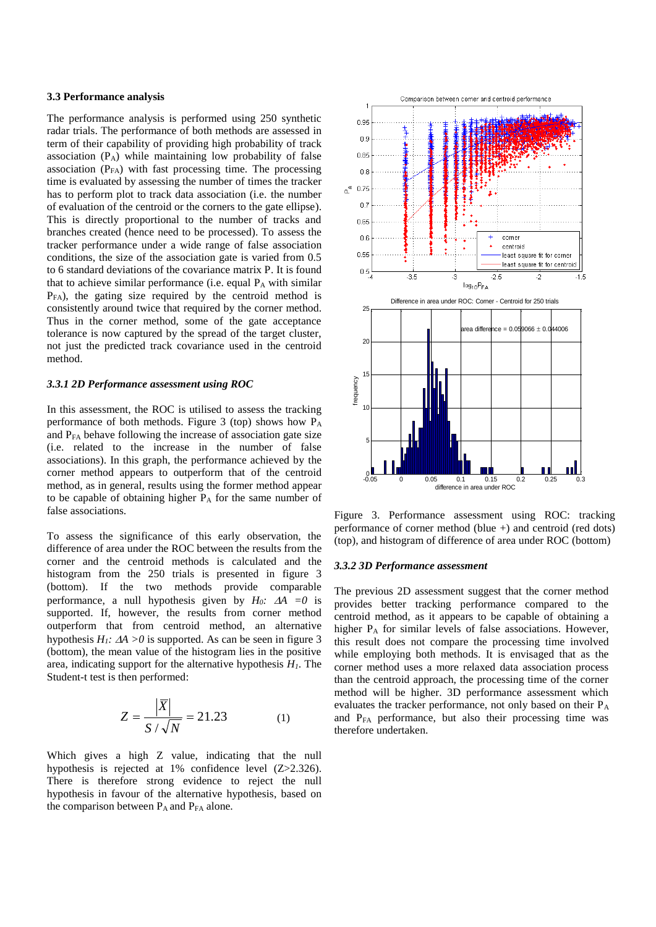#### **3.3 Performance analysis**

The performance analysis is performed using 250 synthetic radar trials. The performance of both methods are assessed in term of their capability of providing high probability of track association  $(P_A)$  while maintaining low probability of false association  $(P<sub>FA</sub>)$  with fast processing time. The processing time is evaluated by assessing the number of times the tracker has to perform plot to track data association (i.e. the number of evaluation of the centroid or the corners to the gate ellipse). This is directly proportional to the number of tracks and branches created (hence need to be processed). To assess the tracker performance under a wide range of false association conditions, the size of the association gate is varied from 0.5 to 6 standard deviations of the covariance matrix P. It is found that to achieve similar performance (i.e. equal  $P_A$  with similar PFA), the gating size required by the centroid method is consistently around twice that required by the corner method. Thus in the corner method, some of the gate acceptance tolerance is now captured by the spread of the target cluster, not just the predicted track covariance used in the centroid method.

#### *3.3.1 2D Performance assessment using ROC*

In this assessment, the ROC is utilised to assess the tracking performance of both methods. Figure 3 (top) shows how P<sup>A</sup> and  $P<sub>FA</sub>$  behave following the increase of association gate size (i.e. related to the increase in the number of false associations). In this graph, the performance achieved by the corner method appears to outperform that of the centroid method, as in general, results using the former method appear to be capable of obtaining higher P<sup>A</sup> for the same number of false associations.

To assess the significance of this early observation, the difference of area under the ROC between the results from the corner and the centroid methods is calculated and the histogram from the 250 trials is presented in figure 3 (bottom). If the two methods provide comparable performance, a null hypothesis given by  $H_0$ *:*  $\Delta A = 0$  is supported. If, however, the results from corner method outperform that from centroid method, an alternative hypothesis  $H_1$ :  $\Delta A > 0$  is supported. As can be seen in figure 3 (bottom), the mean value of the histogram lies in the positive area, indicating support for the alternative hypothesis *H1*. The Student-t test is then performed:

$$
Z = \frac{|X|}{S / \sqrt{N}} = 21.23
$$
 (1)

Which gives a high Z value, indicating that the null hypothesis is rejected at 1% confidence level  $(Z>2.326)$ . There is therefore strong evidence to reject the null hypothesis in favour of the alternative hypothesis, based on the comparison between  $P_A$  and  $P_{FA}$  alone.



Figure 3. Performance assessment using ROC: tracking performance of corner method (blue +) and centroid (red dots) (top), and histogram of difference of area under ROC (bottom)

#### *3.3.2 3D Performance assessment*

The previous 2D assessment suggest that the corner method provides better tracking performance compared to the centroid method, as it appears to be capable of obtaining a higher  $P_A$  for similar levels of false associations. However, this result does not compare the processing time involved while employing both methods. It is envisaged that as the corner method uses a more relaxed data association process than the centroid approach, the processing time of the corner method will be higher. 3D performance assessment which evaluates the tracker performance, not only based on their PA and PFA performance, but also their processing time was therefore undertaken.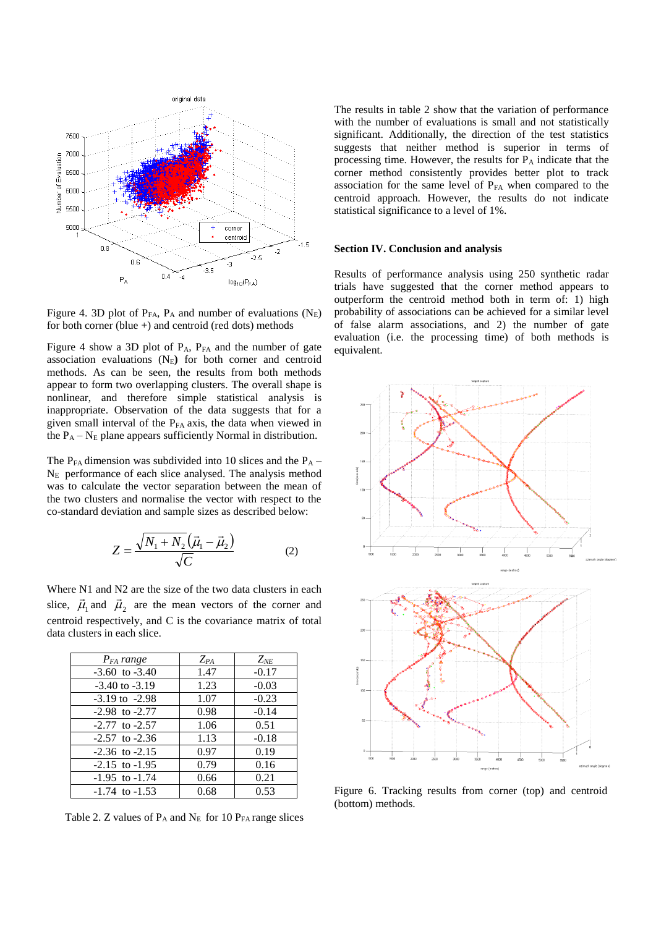

Figure 4. 3D plot of  $P_{FA}$ ,  $P_A$  and number of evaluations ( $N_E$ ) for both corner (blue  $+$ ) and centroid (red dots) methods

Figure 4 show a 3D plot of  $P_A$ ,  $P_{FA}$  and the number of gate association evaluations  $(N_E)$  for both corner and centroid methods. As can be seen, the results from both methods appear to form two overlapping clusters. The overall shape is nonlinear, and therefore simple statistical analysis is inappropriate. Observation of the data suggests that for a given small interval of the  $P<sub>FA</sub>$  axis, the data when viewed in the  $P_A - N_E$  plane appears sufficiently Normal in distribution.

The  $P_{FA}$  dimension was subdivided into 10 slices and the  $P_A$  – NE performance of each slice analysed. The analysis method was to calculate the vector separation between the mean of the two clusters and normalise the vector with respect to the co-standard deviation and sample sizes as described below:

$$
Z = \frac{\sqrt{N_1 + N_2}(\vec{\mu}_1 - \vec{\mu}_2)}{\sqrt{C}}
$$
 (2)

Where N1 and N2 are the size of the two data clusters in each slice,  $\mu_1$  $\vec{u}_1$  and  $\vec{\mu}_2$  $\vec{u}_2$  are the size of the two data enasters in each  $\vec{u}_2$  are the mean vectors of the corner and centroid respectively, and C is the covariance matrix of total data clusters in each slice.

| $P_{FA}$ range     | $Z_{PA}$ | $Z_{NE}$ |
|--------------------|----------|----------|
| $-3.60$ to $-3.40$ | 1.47     | $-0.17$  |
| $-3.40$ to $-3.19$ | 1.23     | $-0.03$  |
| $-3.19$ to $-2.98$ | 1.07     | $-0.23$  |
| $-2.98$ to $-2.77$ | 0.98     | $-0.14$  |
| $-2.77$ to $-2.57$ | 1.06     | 0.51     |
| $-2.57$ to $-2.36$ | 1.13     | $-0.18$  |
| $-2.36$ to $-2.15$ | 0.97     | 0.19     |
| $-2.15$ to $-1.95$ | 0.79     | 0.16     |
| $-1.95$ to $-1.74$ | 0.66     | 0.21     |
| $-1.74$ to $-1.53$ | 0.68     | 0.53     |

Table 2. Z values of  $P_A$  and  $N_E$  for 10  $P_{FA}$  range slices

The results in table 2 show that the variation of performance with the number of evaluations is small and not statistically significant. Additionally, the direction of the test statistics suggests that neither method is superior in terms of processing time. However, the results for  $P_A$  indicate that the corner method consistently provides better plot to track association for the same level of  $P<sub>FA</sub>$  when compared to the centroid approach. However, the results do not indicate statistical significance to a level of 1%.

#### **Section IV. Conclusion and analysis**

Results of performance analysis using 250 synthetic radar trials have suggested that the corner method appears to outperform the centroid method both in term of: 1) high probability of associations can be achieved for a similar level of false alarm associations, and 2) the number of gate evaluation (i.e. the processing time) of both methods is equivalent.



Figure 6. Tracking results from corner (top) and centroid (bottom) methods.